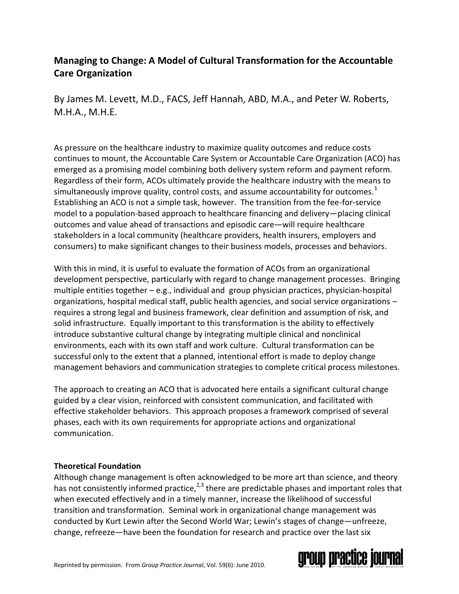# **Managing to Change: A Model of Cultural Transformation for the Accountable Care Organization**

By James M. Levett, M.D., FACS, Jeff Hannah, ABD, M.A., and Peter W. Roberts, M.H.A., M.H.E.

As pressure on the healthcare industry to maximize quality outcomes and reduce costs continues to mount, the Accountable Care System or Accountable Care Organization (ACO) has emerged as a promising model combining both delivery system reform and payment reform. Regardless of their form, ACOs ultimately provide the healthcare industry with the means to simultaneously improve quality, control costs, and assume accountability for outcomes.<sup>1</sup> Establishing an ACO is not a simple task, however. The transition from the fee-for-service model to a population-based approach to healthcare financing and delivery―placing clinical outcomes and value ahead of transactions and episodic care―will require healthcare stakeholders in a local community (healthcare providers, health insurers, employers and consumers) to make significant changes to their business models, processes and behaviors.

With this in mind, it is useful to evaluate the formation of ACOs from an organizational development perspective, particularly with regard to change management processes. Bringing multiple entities together – e.g., individual and group physician practices, physician-hospital organizations, hospital medical staff, public health agencies, and social service organizations – requires a strong legal and business framework, clear definition and assumption of risk, and solid infrastructure. Equally important to this transformation is the ability to effectively introduce substantive cultural change by integrating multiple clinical and nonclinical environments, each with its own staff and work culture. Cultural transformation can be successful only to the extent that a planned, intentional effort is made to deploy change management behaviors and communication strategies to complete critical process milestones.

The approach to creating an ACO that is advocated here entails a significant cultural change guided by a clear vision, reinforced with consistent communication, and facilitated with effective stakeholder behaviors. This approach proposes a framework comprised of several phases, each with its own requirements for appropriate actions and organizational communication.

## **Theoretical Foundation**

Although change management is often acknowledged to be more art than science, and theory has not consistently informed practice,  $2,3$  there are predictable phases and important roles that when executed effectively and in a timely manner, increase the likelihood of successful transition and transformation. Seminal work in organizational change management was conducted by Kurt Lewin after the Second World War; Lewin's stages of change―unfreeze, change, refreeze―have been the foundation for research and practice over the last six

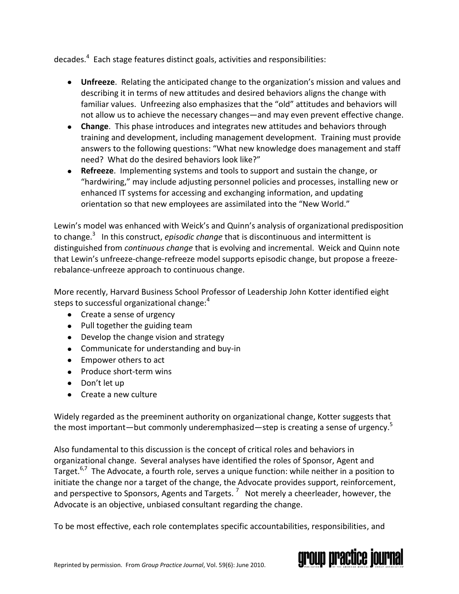decades.<sup>4</sup> Each stage features distinct goals, activities and responsibilities:

- **Unfreeze**. Relating the anticipated change to the organization's mission and values and describing it in terms of new attitudes and desired behaviors aligns the change with familiar values. Unfreezing also emphasizes that the "old" attitudes and behaviors will not allow us to achieve the necessary changes―and may even prevent effective change.
- **Change**. This phase introduces and integrates new attitudes and behaviors through training and development, including management development. Training must provide answers to the following questions: "What new knowledge does management and staff need? What do the desired behaviors look like?"
- **Refreeze**. Implementing systems and tools to support and sustain the change, or "hardwiring," may include adjusting personnel policies and processes, installing new or enhanced IT systems for accessing and exchanging information, and updating orientation so that new employees are assimilated into the "New World."

Lewin's model was enhanced with Weick's and Quinn's analysis of organizational predisposition to change.<sup>3</sup> In this construct, *episodic change* that is discontinuous and intermittent is distinguished from *continuous change* that is evolving and incremental. Weick and Quinn note that Lewin's unfreeze-change-refreeze model supports episodic change, but propose a freezerebalance-unfreeze approach to continuous change.

More recently, Harvard Business School Professor of Leadership John Kotter identified eight steps to successful organizational change: $4$ 

- Create a sense of urgency
- Pull together the guiding team
- Develop the change vision and strategy
- Communicate for understanding and buy-in
- Empower others to act
- Produce short-term wins
- Don't let up
- Create a new culture

Widely regarded as the preeminent authority on organizational change, Kotter suggests that the most important—but commonly underemphasized—step is creating a sense of urgency.<sup>5</sup>

Also fundamental to this discussion is the concept of critical roles and behaviors in organizational change. Several analyses have identified the roles of Sponsor, Agent and Target.<sup>6,7</sup> The Advocate, a fourth role, serves a unique function: while neither in a position to initiate the change nor a target of the change, the Advocate provides support, reinforcement, and perspective to Sponsors, Agents and Targets.<sup>7</sup> Not merely a cheerleader, however, the Advocate is an objective, unbiased consultant regarding the change.

To be most effective, each role contemplates specific accountabilities, responsibilities, and

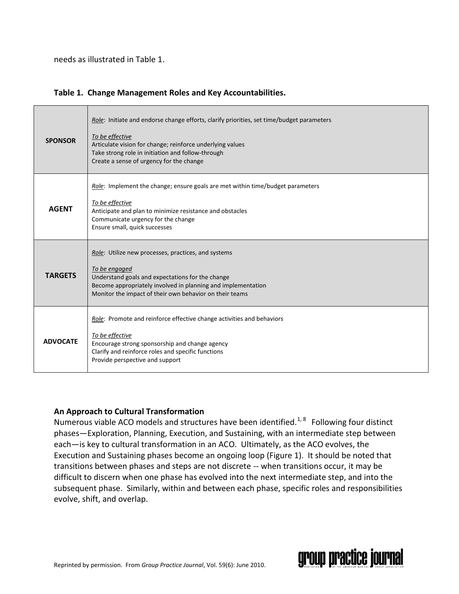needs as illustrated in Table 1.

|  | Table 1. Change Management Roles and Key Accountabilities. |  |
|--|------------------------------------------------------------|--|
|--|------------------------------------------------------------|--|

| <b>SPONSOR</b>  | Role: Initiate and endorse change efforts, clarify priorities, set time/budget parameters<br>To be effective<br>Articulate vision for change; reinforce underlying values<br>Take strong role in initiation and follow-through<br>Create a sense of urgency for the change |  |
|-----------------|----------------------------------------------------------------------------------------------------------------------------------------------------------------------------------------------------------------------------------------------------------------------------|--|
| <b>AGENT</b>    | Role: Implement the change; ensure goals are met within time/budget parameters<br>To be effective<br>Anticipate and plan to minimize resistance and obstacles<br>Communicate urgency for the change<br>Ensure small, quick successes                                       |  |
| <b>TARGETS</b>  | Role: Utilize new processes, practices, and systems<br>To be engaged<br>Understand goals and expectations for the change<br>Become appropriately involved in planning and implementation<br>Monitor the impact of their own behavior on their teams                        |  |
| <b>ADVOCATE</b> | Role: Promote and reinforce effective change activities and behaviors<br>To be effective<br>Encourage strong sponsorship and change agency<br>Clarify and reinforce roles and specific functions<br>Provide perspective and support                                        |  |

## **An Approach to Cultural Transformation**

Numerous viable ACO models and structures have been identified.<sup>1, 8</sup> Following four distinct phases―Exploration, Planning, Execution, and Sustaining, with an intermediate step between each―is key to cultural transformation in an ACO. Ultimately, as the ACO evolves, the Execution and Sustaining phases become an ongoing loop (Figure 1). It should be noted that transitions between phases and steps are not discrete -- when transitions occur, it may be difficult to discern when one phase has evolved into the next intermediate step, and into the subsequent phase. Similarly, within and between each phase, specific roles and responsibilities evolve, shift, and overlap.

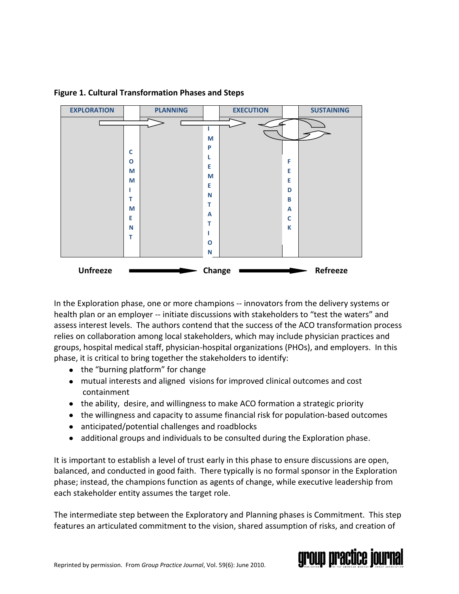

#### **Figure 1. Cultural Transformation Phases and Steps**

In the Exploration phase, one or more champions -- innovators from the delivery systems or health plan or an employer -- initiate discussions with stakeholders to "test the waters" and assess interest levels. The authors contend that the success of the ACO transformation process relies on collaboration among local stakeholders, which may include physician practices and groups, hospital medical staff, physician-hospital organizations (PHOs), and employers. In this phase, it is critical to bring together the stakeholders to identify:

- the "burning platform" for change
- mutual interests and aligned visions for improved clinical outcomes and cost containment
- the ability, desire, and willingness to make ACO formation a strategic priority
- the willingness and capacity to assume financial risk for population-based outcomes
- anticipated/potential challenges and roadblocks
- additional groups and individuals to be consulted during the Exploration phase.

It is important to establish a level of trust early in this phase to ensure discussions are open, balanced, and conducted in good faith. There typically is no formal sponsor in the Exploration phase; instead, the champions function as agents of change, while executive leadership from each stakeholder entity assumes the target role.

The intermediate step between the Exploratory and Planning phases is Commitment. This step features an articulated commitment to the vision, shared assumption of risks, and creation of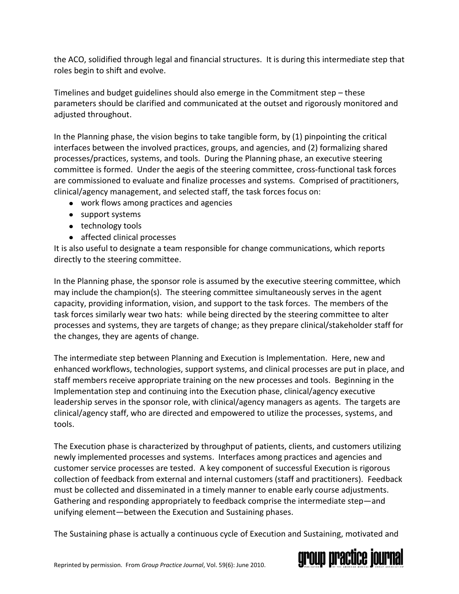the ACO, solidified through legal and financial structures. It is during this intermediate step that roles begin to shift and evolve.

Timelines and budget guidelines should also emerge in the Commitment step – these parameters should be clarified and communicated at the outset and rigorously monitored and adjusted throughout.

In the Planning phase, the vision begins to take tangible form, by (1) pinpointing the critical interfaces between the involved practices, groups, and agencies, and (2) formalizing shared processes/practices, systems, and tools. During the Planning phase, an executive steering committee is formed. Under the aegis of the steering committee, cross-functional task forces are commissioned to evaluate and finalize processes and systems. Comprised of practitioners, clinical/agency management, and selected staff, the task forces focus on:

- work flows among practices and agencies
- support systems
- technology tools
- affected clinical processes

It is also useful to designate a team responsible for change communications, which reports directly to the steering committee.

In the Planning phase, the sponsor role is assumed by the executive steering committee, which may include the champion(s). The steering committee simultaneously serves in the agent capacity, providing information, vision, and support to the task forces. The members of the task forces similarly wear two hats: while being directed by the steering committee to alter processes and systems, they are targets of change; as they prepare clinical/stakeholder staff for the changes, they are agents of change.

The intermediate step between Planning and Execution is Implementation. Here, new and enhanced workflows, technologies, support systems, and clinical processes are put in place, and staff members receive appropriate training on the new processes and tools. Beginning in the Implementation step and continuing into the Execution phase, clinical/agency executive leadership serves in the sponsor role, with clinical/agency managers as agents. The targets are clinical/agency staff, who are directed and empowered to utilize the processes, systems, and tools.

The Execution phase is characterized by throughput of patients, clients, and customers utilizing newly implemented processes and systems. Interfaces among practices and agencies and customer service processes are tested. A key component of successful Execution is rigorous collection of feedback from external and internal customers (staff and practitioners). Feedback must be collected and disseminated in a timely manner to enable early course adjustments. Gathering and responding appropriately to feedback comprise the intermediate step―and unifying element―between the Execution and Sustaining phases.

The Sustaining phase is actually a continuous cycle of Execution and Sustaining, motivated and

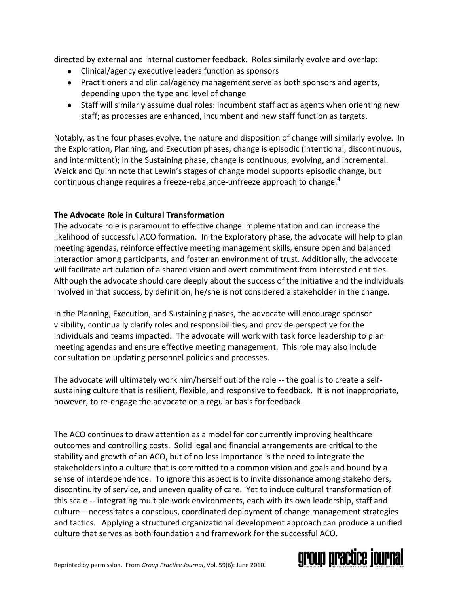directed by external and internal customer feedback. Roles similarly evolve and overlap:

- Clinical/agency executive leaders function as sponsors
- Practitioners and clinical/agency management serve as both sponsors and agents, depending upon the type and level of change
- Staff will similarly assume dual roles: incumbent staff act as agents when orienting new staff; as processes are enhanced, incumbent and new staff function as targets.

Notably, as the four phases evolve, the nature and disposition of change will similarly evolve. In the Exploration, Planning, and Execution phases, change is episodic (intentional, discontinuous, and intermittent); in the Sustaining phase, change is continuous, evolving, and incremental. Weick and Quinn note that Lewin's stages of change model supports episodic change, but continuous change requires a freeze-rebalance-unfreeze approach to change.<sup>4</sup>

# **The Advocate Role in Cultural Transformation**

The advocate role is paramount to effective change implementation and can increase the likelihood of successful ACO formation. In the Exploratory phase, the advocate will help to plan meeting agendas, reinforce effective meeting management skills, ensure open and balanced interaction among participants, and foster an environment of trust. Additionally, the advocate will facilitate articulation of a shared vision and overt commitment from interested entities. Although the advocate should care deeply about the success of the initiative and the individuals involved in that success, by definition, he/she is not considered a stakeholder in the change.

In the Planning, Execution, and Sustaining phases, the advocate will encourage sponsor visibility, continually clarify roles and responsibilities, and provide perspective for the individuals and teams impacted. The advocate will work with task force leadership to plan meeting agendas and ensure effective meeting management. This role may also include consultation on updating personnel policies and processes.

The advocate will ultimately work him/herself out of the role -- the goal is to create a selfsustaining culture that is resilient, flexible, and responsive to feedback. It is not inappropriate, however, to re-engage the advocate on a regular basis for feedback.

The ACO continues to draw attention as a model for concurrently improving healthcare outcomes and controlling costs. Solid legal and financial arrangements are critical to the stability and growth of an ACO, but of no less importance is the need to integrate the stakeholders into a culture that is committed to a common vision and goals and bound by a sense of interdependence. To ignore this aspect is to invite dissonance among stakeholders, discontinuity of service, and uneven quality of care. Yet to induce cultural transformation of this scale -- integrating multiple work environments, each with its own leadership, staff and culture – necessitates a conscious, coordinated deployment of change management strategies and tactics. Applying a structured organizational development approach can produce a unified culture that serves as both foundation and framework for the successful ACO.